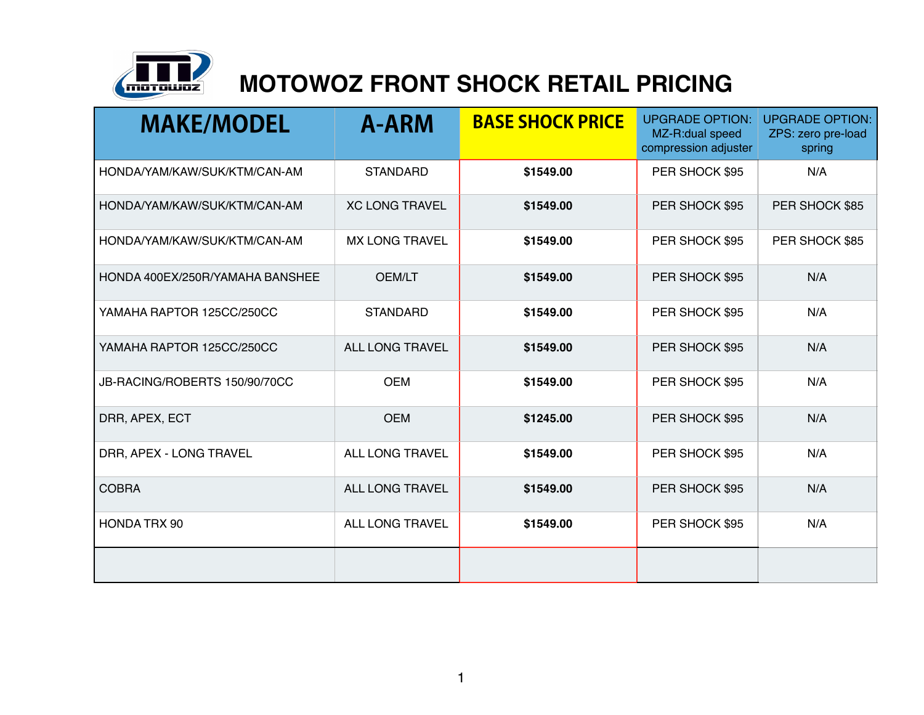

## **MOTOWOZ FRONT SHOCK RETAIL PRICING**

| <b>MAKE/MODEL</b>               | <b>A-ARM</b>           | <b>BASE SHOCK PRICE</b> | <b>UPGRADE OPTION:</b><br>MZ-R:dual speed<br>compression adjuster | <b>UPGRADE OPTION:</b><br>ZPS: zero pre-load<br>spring |
|---------------------------------|------------------------|-------------------------|-------------------------------------------------------------------|--------------------------------------------------------|
| HONDA/YAM/KAW/SUK/KTM/CAN-AM    | <b>STANDARD</b>        | \$1549.00               | PER SHOCK \$95                                                    | N/A                                                    |
| HONDA/YAM/KAW/SUK/KTM/CAN-AM    | <b>XC LONG TRAVEL</b>  | \$1549.00               | PER SHOCK \$95                                                    | PER SHOCK \$85                                         |
| HONDA/YAM/KAW/SUK/KTM/CAN-AM    | <b>MX LONG TRAVEL</b>  | \$1549.00               | PER SHOCK \$95                                                    | PER SHOCK \$85                                         |
| HONDA 400EX/250R/YAMAHA BANSHEE | <b>OEM/LT</b>          | \$1549.00               | PER SHOCK \$95                                                    | N/A                                                    |
| YAMAHA RAPTOR 125CC/250CC       | <b>STANDARD</b>        | \$1549.00               | PER SHOCK \$95                                                    | N/A                                                    |
| YAMAHA RAPTOR 125CC/250CC       | ALL LONG TRAVEL        | \$1549.00               | PER SHOCK \$95                                                    | N/A                                                    |
| JB-RACING/ROBERTS 150/90/70CC   | <b>OEM</b>             | \$1549.00               | PER SHOCK \$95                                                    | N/A                                                    |
| DRR, APEX, ECT                  | <b>OEM</b>             | \$1245.00               | PER SHOCK \$95                                                    | N/A                                                    |
| DRR, APEX - LONG TRAVEL         | ALL LONG TRAVEL        | \$1549.00               | PER SHOCK \$95                                                    | N/A                                                    |
| <b>COBRA</b>                    | <b>ALL LONG TRAVEL</b> | \$1549.00               | PER SHOCK \$95                                                    | N/A                                                    |
| <b>HONDA TRX 90</b>             | ALL LONG TRAVEL        | \$1549.00               | PER SHOCK \$95                                                    | N/A                                                    |
|                                 |                        |                         |                                                                   |                                                        |